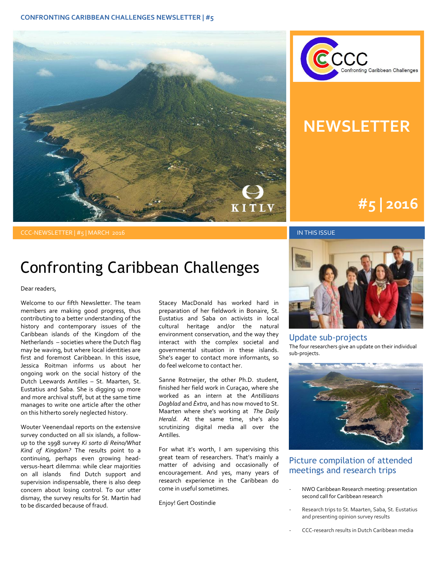



### **NEWSLETTER**

# **#1 | 2015 #5 | 2016**

#### CCC-NEWSLETTER | #5 | MARCH 2016 IN THIS ISSUE

### Confronting Caribbean Challenges

Dear readers,

Welcome to our fifth Newsletter. The team members are making good progress, thus contributing to a better understanding of the history and contemporary issues of the Caribbean islands of the Kingdom of the Netherlands – societies where the Dutch flag may be waving, but where local identities are first and foremost Caribbean. In this issue, Jessica Roitman informs us about her ongoing work on the social history of the Dutch Leewards Antilles – St. Maarten, St. Eustatius and Saba. She is digging up more and more archival stuff, but at the same time manages to write one article after the other on this hitherto sorely neglected history.

Wouter Veenendaal reports on the extensive survey conducted on all six islands, a followup to the 1998 survey *Ki sorto di Reino/What Kind of Kingdom?* The results point to a continuing, perhaps even growing headversus-heart dilemma: while clear majorities on all islands find Dutch support and supervision indispensable, there is also deep concern about losing control. To our utter dismay, the survey results for St. Martin had to be discarded because of fraud.

Stacey MacDonald has worked hard in preparation of her fieldwork in Bonaire, St. Eustatius and Saba on activists in local cultural heritage and/or the natural environment conservation, and the way they interact with the complex societal and governmental situation in these islands. She's eager to contact more informants, so do feel welcome to contact her.

Sanne Rotmeijer, the other Ph.D. student, finished her field work in Curaçao, where she worked as an intern at the *Antilliaans Dagblad* and *Èxtra*, and has now moved to St. Maarten where she's working at *The Daily Herald*. At the same time, she's also scrutinizing digital media all over the Antilles.

For what it's worth, I am supervising this great team of researchers. That's mainly a matter of advising and occasionally of encouragement. And yes, many years of research experience in the Caribbean do come in useful sometimes.

Enjoy! Gert Oostindie



### Update sub-projects

The four researchers give an update on their individual sub-projects.



### Picture compilation of attended meetings and research trips

- NWO Caribbean Research meeting: presentation second call for Caribbean research
- Research trips to St. Maarten, Saba, St. Eustatius and presenting opinion survey results
- CCC-research results in Dutch Caribbean media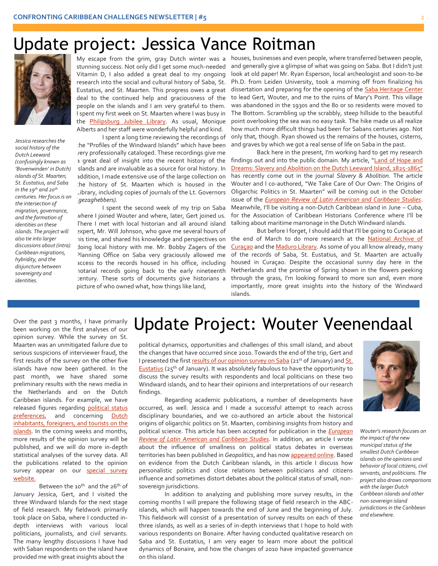### Update project: Jessica Vance Roitman



*Jessica researches the social history of the Dutch Leeward (confusingly known as 'Bovenwinden' in Dutch) islands of St. Maarten, St. Eustatius, and Saba in the 19th and 20th centuries. Her focus is on the intersection of migration, governance, and the formation of identities on these islands. The project will also tie into larger discussions about (intra) Caribbean migrations, hybridity, and the disjuncture between sovereignty and identities.*

EDISTRIBUTE CONTROL CONTROL CONTROL CONTROL CONTROL CONTROL CONTROL CONTROL CONTROL CONTROL CONTROL CONTROL CONTROL CONTROL CONTROL CONTROL CONTROL CONTROL CONTROL CONTROL CONTROL CONTROL CONTROL CONTROL CONTROL CONTROL CO stunning success. Not only did I get some much-needed Vitamin D, I also added a great deal to my ongoing research into the social and cultural history of Saba, St. Eustatius, and St. Maarten. This progress owes a great people on the islands and I am very grateful to them. I spent my first week on St. Maarten where I was busy in the **Philipsburg Jubilee Library**. As usual, Monique Alberts and her staff were wonderfully helpful and kind.

> I spent a long time reviewing the recordings of the "Profiles of the Windward Islands" which have been very professionally cataloged. These recordings give me a great deal of insight into the recent history of the slands and are invaluable as a source for oral history. In addition, I made extensive use of the large collection on the history of St. Maarten which is housed in the Library, including copies of journals of the Lt. Governors (*gezaghebbers).*

> I spent the second week of my trip on Saba where I joined Wouter and where, later, Gert joined us. There I met with local historian and all around island expert, Mr. Will Johnson, who gave me several hours of his time, and shared his knowledge and perspectives on doing local history with me. Mr. Bobby Zagers of the Planning Office on Saba very graciously allowed me access to the records housed in his office, including notarial records going back to the early nineteenth century. These sorts of documents give historians a picture of who owned what, how things like land,

My escape from the grim, gray Dutch winter was a houses, businesses and even people, where transferred between people, and generally give a glimpse of what was going on Saba. But I didn't just look at old paper! Mr. Ryan Esperson, local archeologist and soon-to-be Ph.D. from Leiden University, took a morning off from finalizing his dissertation and preparing for the opening of the **Saba Heritage Center** to lead Gert, Wouter, and me to the ruins of Mary's Point. This village was abandoned in the 1930s and the 80 or so residents were moved to The Bottom. Scrambling up the scrabbly, steep hillside to the beautiful point overlooking the sea was no easy task. The hike made us all realize how much more difficult things had been for Sabans centuries ago. Not only that, though. Ryan showed us the remains of the houses, cisterns, and graves by which we got a real sense of life on Saba in the past.

> Back here in the present, I'm working hard to get my research findings out and into the public domain. My article, "[Land of Hope and](https://www.academia.edu/22790036/Land_of_Hope_and_Dreams_slavery_and_abolition_in_the_Dutch_Leeward_islands_1825-1865)  [Dreams: Slavery and Abolition on the Dutch Leeward Island, 1825-](https://www.academia.edu/22790036/Land_of_Hope_and_Dreams_slavery_and_abolition_in_the_Dutch_Leeward_islands_1825-1865)1865" has recently come out in the journal *Slavery & Abolition.* The article Wouter and I co-authored, "We Take Care of Our Own: The Origins of Oligarchic Politics in St. Maarten" will be coming out in the October issue of the *[European Review of Latin American and Caribbean Studies](http://www.erlacs.org/)*. Meanwhile, I'll be visiting a non-Dutch Caribbean island in June – Cuba, for the Association of Caribbean Historians Conference where I'll be talking about maritime marronage in the Dutch Windward islands.

> But before I forget, I should add that I'll be going to Curaçao at the end of March to do more research at the National Archive of [Curaçao](http://www.nationalarchives.cw/) and th[e Maduro Library.](http://www.madurolibrary.org/) As some of you all know already, many of the records of Saba, St. Eustatius, and St. Maarten are actually housed in Curaçao. Despite the occasional sunny day here in the Netherlands and the promise of Spring shown in the flowers peeking through the grass, I'm looking forward to more sun and, even more importantly, more great insights into the history of the Windward islands.

Over the past 3 months, I have primarily been working on the first analyses of our opinion survey. While the survey on St. Maarten was an unmitigated failure due to serious suspicions of interviewer fraud, the first results of the survey on the other five islands have now been gathered. In the past month, we have shared some preliminary results with the news media in the Netherlands and on the Dutch Caribbean islands. For example, we have released figures regarding political status [preferences,](http://caribischnetwerk.ntr.nl/2015/12/22/kwart-bonairianen-verlangt-terug-naar-antillen) and concerning Dutch inhabitants, foreigners, and tourists on the [islands.](http://caribischnetwerk.ntr.nl/2016/02/26/abc-eilanden-niet-blij-met-immigranten-en-toeristen) In the coming weeks and months, more results of the opinion survey will be published, and we will do more in-depth statistical analyses of the survey data. All the publications related to the opinion survey appear on our **special survey** [website.](http://www.kitlv.nl/research-projects-confronting-caribbean-challenges-opinion-survey/)

Between the 10<sup>th</sup> and the 26<sup>th</sup> of January Jessica, Gert, and I visited the three Windward Islands for the next stage of field research. My fieldwork primarily took place on Saba, where I conducted indepth interviews with various local politicians, journalists, and civil servants. The many lengthy discussions I have had with Saban respondents on the island have provided me with great insights about the

## Update Project: Wouter Veenendaal

political dynamics, opportunities and challenges of this small island, and about the changes that have occurred since 2010. Towards the end of the trip, Gert and I presented the firs[t results of our opinion survey on Saba](http://caribischnetwerk.ntr.nl/2016/01/23/kitlv-onderzoek-het-gaat-niet-alleen-om-geld-investeren/) (21<sup>st</sup> of January) and St. **[Eustatius](http://caribischnetwerk.ntr.nl/2016/01/27/statianen-niet-blij-met-nederlands-bestuur/))** (25<sup>th</sup> of January). It was absolutely fabulous to have the opportunity to discuss the survey results with respondents and local politicians on these two Windward islands, and to hear their opinions and interpretations of our research findings.

.

Regarding academic publications, a number of developments have occurred, as well. Jessica and I made a successful attempt to reach across disciplinary boundaries, and we co-authored an article about the historical origins of oligarchic politics on St. Maarten, combining insights from history and political science. This article has been accepted for publication in the *[European](http://www.erlacs.org/)  [Review of Latin American and Caribbean Studies.](http://www.erlacs.org/)* In addition, an article I wrote about the influence of smallness on political status debates in overseas territories has been published in *Geopolitics*, and has no[w appeared online.](http://www.tandfonline.com/doi/full/10.1080/14650045.2015.1104303) Based on evidence from the Dutch Caribbean islands, in this article I discuss how personalistic politics and close relations between politicians and citizens influence and sometimes distort debates about the political status of small, nonsovereign jurisdictions.

In addition to analyzing and publishing more survey results, in the coming months I will prepare the following stage of field research in the ABCislands, which will happen towards the end of June and the beginning of July. This fieldwork will consist of a presentation of survey results on each of these three islands, as well as a series of in-depth interviews that I hope to hold with various respondents on Bonaire. After having conducted qualitative research on Saba and St. Eustatius, I am very eager to learn more about the political dynamics of Bonaire, and how the changes of 2010 have impacted governance on this island.



*Wouter's research focuses on the impact of the new municipal status of the smallest Dutch Caribbean islands on the opinions and behavior of local citizens, civil servants, and politicians. The project also draws comparisons with the larger Dutch Caribbean islands and other non-sovereign island jurisdictions in the Caribbean and elsewhere.*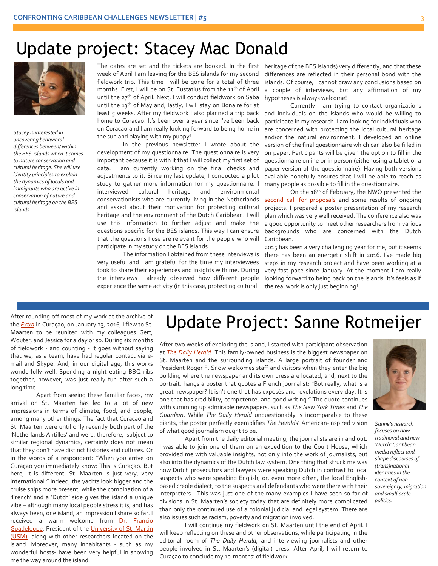### Update project: Stacey Mac Donald



 $\ddot{\phantom{a}}$ *Stacey is interested in uncovering behavioral differences between/ within the BES-islands when it comes to nature conservation and cultural heritage. She will use identity principles to explain the dynamics of locals and immigrants who are active in conservation of nature and cultural heritage on the BES islands.*

The dates are set and the tickets are booked. In the first week of April I am leaving for the BES islands for my second fieldwork trip. This time I will be gone for a total of three months. First, I will be on St. Eustatius from the 11<sup>th</sup> of April until the 27<sup>th</sup> of April. Next, I will conduct fieldwork on Saba until the 13<sup>th</sup> of May and, lastly, I will stay on Bonaire for at least 5 weeks. After my fieldwork I also planned a trip back home to Curacao. It's been over a year since I've been back on Curacao and I am really looking forward to being home in the sun and playing with my puppy!

In the previous newsletter I wrote about the development of my questionnaire. The questionnaire is very important because it is with it that I will collect my first set of data. I am currently working on the final checks and adjustments to it. Since my last update, I conducted a pilot study to gather more information for my questionnaire. I interviewed cultural heritage and environmental conservationists who are currently living in the Netherlands and asked about their motivation for protecting cultural heritage and the environment of the Dutch Caribbean. I will use this information to further adjust and make the questions specific for the BES islands. This way I can ensure that the questions I use are relevant for the people who will participate in my study on the BES islands.

The information I obtained from these interviews is very useful and I am grateful for the time my interviewees took to share their experiences and insights with me. During the interviews I already observed how different people experience the same activity (in this case, protecting cultural

heritage of the BES islands) very differently, and that these differences are reflected in their personal bond with the islands. Of course, I cannot draw any conclusions based on a couple of interviews, but any affirmation of my hypotheses is always welcome!

Currently I am trying to contact organizations and individuals on the islands who would be willing to participate in my research. I am looking for individuals who are concerned with protecting the local cultural heritage and/or the natural environment. I developed an online version of the final questionnaire which can also be filled in on paper. Participants will be given the option to fill in the questionnaire online or in person (either using a tablet or a paper version of the questionnaire). Having both versions available hopefully ensures that I will be able to reach as many people as possible to fill in the questionnaire.

On the 18th of February, the NWO presented the [second call for proposals](http://www.nwo.nl/en/research-and-results/programmes/Caribbean+Research_x003a_+a+Multidisciplinary+Approach/Meeting+2016) and some results of ongoing projects. I prepared a poster presentation of my research plan which was very well received. The conference also was a good opportunity to meet other researchers from various backgrounds who are concerned with the Dutch Caribbean.

2015 has been a very challenging year for me, but it seems there has been an energetic shift in 2016. I've made big steps in my research project and have been working at a very fast pace since January. At the moment I am really looking forward to being back on the islands. It's feels as if the real work is only just beginning!

After rounding off most of my work at the archive of the *[Èxtra](http://extra.cw/)* in Curaçao, on January 23, 2016, I flew to St. Maarten to be reunited with my colleagues Gert, Wouter, and Jessica for a day or so. During six months of fieldwork - and counting - it goes without saying that we, as a team, have had regular contact via email and Skype. And, in our digital age, this works wonderfully well. Spending a night eating BBQ ribs together, however, was just really fun after such a long time.

Apart from seeing these familiar faces, my arrival on St. Maarten has led to a lot of new impressions in terms of climate, food, and people, among many other things. The fact that Curaçao and St. Maarten were until only recently both part of the 'Netherlands Antilles' and were, therefore, subject to similar regional dynamics, certainly does not mean that they don't have distinct histories and cultures. Or in the words of a respondent: "When you arrive on Curaçao you immediately know: This is Curaçao. But here, it is different. St. Maarten is just very, very international." Indeed, the yachts look bigger and the cruise ships more present, while the combination of a 'French' and a 'Dutch' side gives the island a unique vibe – although many local people stress it is, and has always been, one island, an impression I share so far. I received a warm welcome from Dr. Francio [Guadeloupe,](http://www.usmonline.net/#/staff/) President of th[e University of St. Martin](http://www.usmonline.net/)  [\(USM\),](http://www.usmonline.net/) along with other researchers located on the island. Moreover, many inhabitants - such as my wonderful hosts- have been very helpful in showing me the way around the island.

### Update Project: Sanne Rotmeijer

After two weeks of exploring the island, I started with participant observation at *[The Daily Herald.](https://www.thedailyherald.sx/)* This family-owned business is the biggest newspaper on St. Maarten and the surrounding islands. A large portrait of founder and President Roger F. Snow welcomes staff and visitors when they enter the big building where the newspaper and its own press are located, and, next to the portrait, hangs a poster that quotes a French journalist: "But really, what is a great newspaper? It isn't one that has exposés and revelations every day. It is one that has credibility, competence, and good writing." The quote continues with summing up admirable newspapers, such as *The New York Times* and *The Guardian*. While *The Daily Herald* unquestionably is incomparable to these giants, the poster perfectly exemplifies *The Herald*s' American-inspired vision of what good journalism ought to be.

Apart from the daily editorial meeting, the journalists are in and out. I was able to join one of them on an expedition to the Court House, which provided me with valuable insights, not only into the work of journalists, but also into the dynamics of the Dutch law system. One thing that struck me was how Dutch prosecutors and lawyers were speaking Dutch in contrast to local suspects who were speaking English, or, even more often, the local Englishbased creole dialect, to the suspects and defendants who were there with their interpreters. This was just one of the many examples I have seen so far of divisions in St. Maarten's society today that are definitely more complicated than only the continued use of a colonial judicial and legal system. There are also issues such as racism, poverty and migration involved.

I will continue my fieldwork on St. Maarten until the end of April. I will keep reflecting on these and other observations, while participating in the editorial room of *The Daily Herald,* and interviewing journalists and other people involved in St. Maarten's (digital) press. After April, I will return to Curaçao to conclude my 10-months' of fieldwork.



*Sanne's research focuses on how traditional and new 'Dutch' Caribbean media reflect and shape discourses of (trans)national identities in the context of nonsovereignty, migration and small-scale politics.*